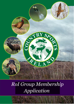

### *RoI Group Membership Application*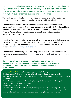Country Sports Ireland is a leading, not-for-profit country sports membership organisation. We are run by active, knowledgeable, and dedicated country sports experts – who are passionate about providing every member with the very highest levels of service, support, and expert advice.

We also know that value for money is particularly important, and we believe our membership rates represent the very best value available in Ireland.

Membership of Country Sports Ireland includes outstanding insurance cover for all recognised\* country sports. Every group member is covered by €6.5 million public & products liability insurance whilst participating all recognised\* country sports. Personal Accident Cover is also included for members whilst participating in all recognised\* country sports.

In addition to outstanding insurance cover other member benefits include subsidised access to leading training courses & events, expert advice on all country sports matters and a growing number of member discount schemes. Full details are available at [www.countrysportsireland.org](http://www.countrysportsireland.org/)

Membership is open to any RoI based group, and insurance cover is provided for members who are participating in country sports temporarily outside the Republic of Ireland.

**Our member's insurance is provided by leading sports insurance specialists who work closely with Country Sports Ireland to deliver a high-quality product specifically designed to meet our member's diverse needs.**

**Recognised Activity\* means taking part legally in the following: Shooting Sports:** All legal shooting sports including game shooting, rough shooting, wildfowling, clay target shooting, airgun & rifle shooting, target shooting, deer stalking, pest &

predator control.

**Dogs & Gundogs:** gundog work & training, beating, picking up, terrier work, dog trials, displays, amateur dog shows & dog training.

**Angling:** game, coarse and sea angling.

**Also:** foot followers of the hunt, falconry, ferreting, archery, catapult & slingshot, hiking, walking & hill walking, vermin/pest control, trapping, conservation, wildlife management, game keeping and river keeping. management, game keeping and river keeping.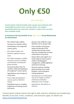# **Only €50**

### per member

Country Sports Ireland provides clubs, groups and syndicates with outstanding insurance cover, training, advice, and support specifically tailored to meet their member's needs at the very best price available locally.

#### **A summary of the key benefits of our 'Best Value' Group Membership are listed below:**

- €6.5 million Public Liability Insurance for members whilst participating in all recognised\* country sports.
- €6.5 million Product and Pollution Liability Insurance cover.
	- €13 million Employer's Liability Insurance cover for members and volunteers assisting with group activities.
	- Personal Accident Cover for members whilst participating in all recognised\* country sports.
	- Legal defence costs arising out of any claim.
	- Cover whilst participating in country sports in Northern Ireland.
	- Subsidised access to a leading programme of training courses and events.
- Discount rate of €40 for Junior Members (12 to 18 years old).
- Every member of the group enjoys the benefits of full membership and will receive their own membership card and confirmation of insurance.
- Expert advice and support on a broad range of country sports matters including game management, wildlife legislation and firearm licensing.
- Discount schemes including game bird feed, ferry travel, predator control and game rearing equipment.
- All landowners are indemnified, and we are happy to confirm indemnity to individual landowners free of charge.
- Indemnity for club officers or directors.

Country Sports Ireland reserves the right to add, amend or withdraw any membership benefits at any time. Terms, conditions, and exclusions apply. For details see [www.countrysportsireland.org](http://www.countrysportsireland.org/)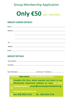### **Group Membership Application**

## **Only**  $E50$  per member

### **GROUP LEADER DETAILS**

### **GROUP DETAILS**



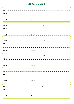### **Members Details**